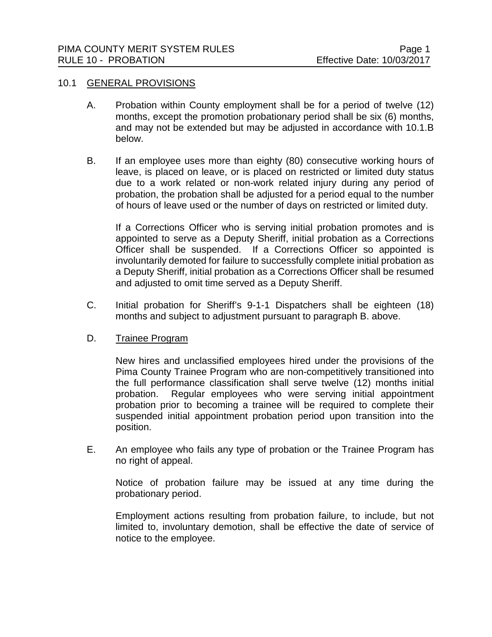## 10.1 GENERAL PROVISIONS

- A. Probation within County employment shall be for a period of twelve (12) months, except the promotion probationary period shall be six (6) months, and may not be extended but may be adjusted in accordance with 10.1.B below.
- B. If an employee uses more than eighty (80) consecutive working hours of leave, is placed on leave, or is placed on restricted or limited duty status due to a work related or non-work related injury during any period of probation, the probation shall be adjusted for a period equal to the number of hours of leave used or the number of days on restricted or limited duty.

If a Corrections Officer who is serving initial probation promotes and is appointed to serve as a Deputy Sheriff, initial probation as a Corrections Officer shall be suspended. If a Corrections Officer so appointed is involuntarily demoted for failure to successfully complete initial probation as a Deputy Sheriff, initial probation as a Corrections Officer shall be resumed and adjusted to omit time served as a Deputy Sheriff.

- C. Initial probation for Sheriff's 9-1-1 Dispatchers shall be eighteen (18) months and subject to adjustment pursuant to paragraph B. above.
- D. Trainee Program

New hires and unclassified employees hired under the provisions of the Pima County Trainee Program who are non-competitively transitioned into the full performance classification shall serve twelve (12) months initial probation. Regular employees who were serving initial appointment probation prior to becoming a trainee will be required to complete their suspended initial appointment probation period upon transition into the position.

E. An employee who fails any type of probation or the Trainee Program has no right of appeal.

Notice of probation failure may be issued at any time during the probationary period.

Employment actions resulting from probation failure, to include, but not limited to, involuntary demotion, shall be effective the date of service of notice to the employee.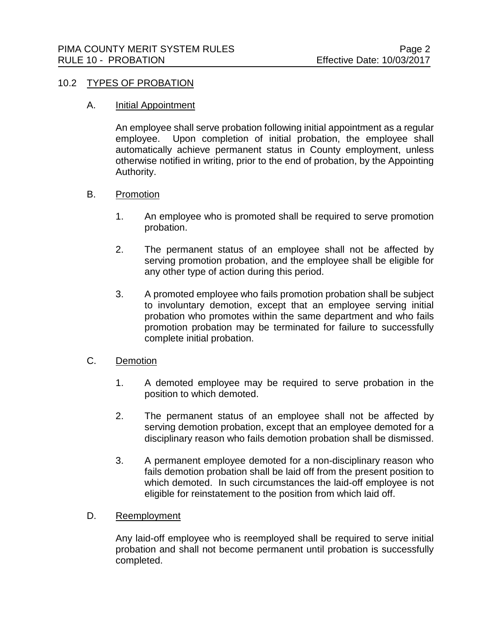# 10.2 TYPES OF PROBATION

## A. Initial Appointment

An employee shall serve probation following initial appointment as a regular employee. Upon completion of initial probation, the employee shall automatically achieve permanent status in County employment, unless otherwise notified in writing, prior to the end of probation, by the Appointing Authority.

# B. Promotion

- 1. An employee who is promoted shall be required to serve promotion probation.
- 2. The permanent status of an employee shall not be affected by serving promotion probation, and the employee shall be eligible for any other type of action during this period.
- 3. A promoted employee who fails promotion probation shall be subject to involuntary demotion, except that an employee serving initial probation who promotes within the same department and who fails promotion probation may be terminated for failure to successfully complete initial probation.

# C. Demotion

- 1. A demoted employee may be required to serve probation in the position to which demoted.
- 2. The permanent status of an employee shall not be affected by serving demotion probation, except that an employee demoted for a disciplinary reason who fails demotion probation shall be dismissed.
- 3. A permanent employee demoted for a non-disciplinary reason who fails demotion probation shall be laid off from the present position to which demoted. In such circumstances the laid-off employee is not eligible for reinstatement to the position from which laid off.

## D. Reemployment

Any laid-off employee who is reemployed shall be required to serve initial probation and shall not become permanent until probation is successfully completed.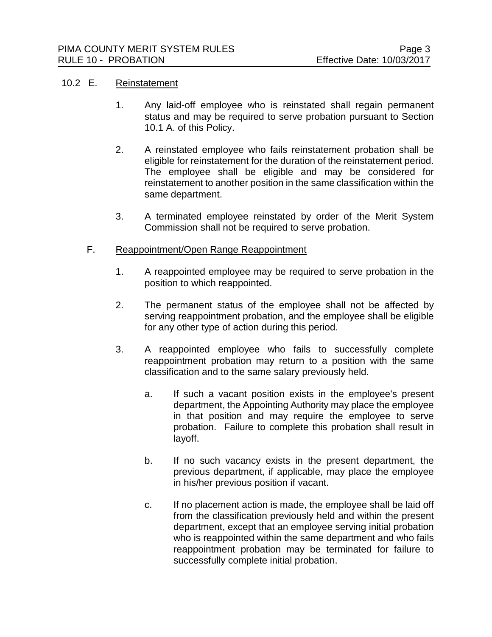# 10.2 E. Reinstatement

- 1. Any laid-off employee who is reinstated shall regain permanent status and may be required to serve probation pursuant to Section 10.1 A. of this Policy.
- 2. A reinstated employee who fails reinstatement probation shall be eligible for reinstatement for the duration of the reinstatement period. The employee shall be eligible and may be considered for reinstatement to another position in the same classification within the same department.
- 3. A terminated employee reinstated by order of the Merit System Commission shall not be required to serve probation.

# F. Reappointment/Open Range Reappointment

- 1. A reappointed employee may be required to serve probation in the position to which reappointed.
- 2. The permanent status of the employee shall not be affected by serving reappointment probation, and the employee shall be eligible for any other type of action during this period.
- 3. A reappointed employee who fails to successfully complete reappointment probation may return to a position with the same classification and to the same salary previously held.
	- a. If such a vacant position exists in the employee's present department, the Appointing Authority may place the employee in that position and may require the employee to serve probation. Failure to complete this probation shall result in layoff.
	- b. If no such vacancy exists in the present department, the previous department, if applicable, may place the employee in his/her previous position if vacant.
	- c. If no placement action is made, the employee shall be laid off from the classification previously held and within the present department, except that an employee serving initial probation who is reappointed within the same department and who fails reappointment probation may be terminated for failure to successfully complete initial probation.